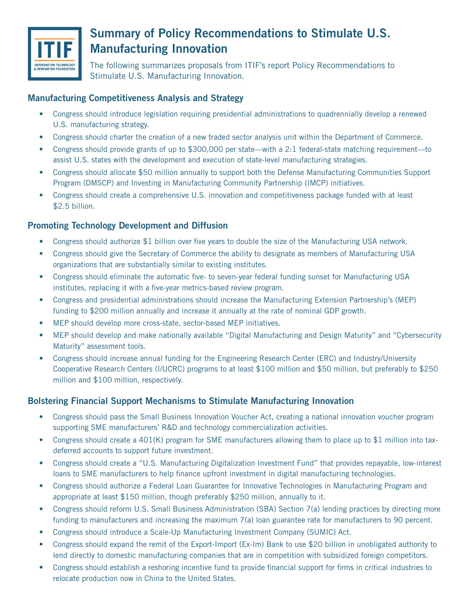

# **Summary of Policy Recommendations to Stimulate U.S. Manufacturing Innovation**

The following summarizes proposals from ITIF's report Policy Recommendations to Stimulate U.S. Manufacturing Innovation.

## **Manufacturing Competitiveness Analysis and Strategy**

- Congress should introduce legislation requiring presidential administrations to quadrennially develop a renewed U.S. manufacturing strategy.
- Congress should charter the creation of a new traded sector analysis unit within the Department of Commerce.
- Congress should provide grants of up to \$300,000 per state—with a 2:1 federal-state matching requirement—to assist U.S. states with the development and execution of state-level manufacturing strategies.
- Congress should allocate \$50 million annually to support both the Defense Manufacturing Communities Support Program (DMSCP) and Investing in Manufacturing Community Partnership (IMCP) initiatives.
- Congress should create a comprehensive U.S. innovation and competitiveness package funded with at least \$2.5 billion.

### **Promoting Technology Development and Diffusion**

- Congress should authorize \$1 billion over five years to double the size of the Manufacturing USA network.
- Congress should give the Secretary of Commerce the ability to designate as members of Manufacturing USA organizations that are substantially similar to existing institutes.
- Congress should eliminate the automatic five- to seven-year federal funding sunset for Manufacturing USA institutes, replacing it with a five-year metrics-based review program.
- Congress and presidential administrations should increase the Manufacturing Extension Partnership's (MEP) funding to \$200 million annually and increase it annually at the rate of nominal GDP growth.
- MEP should develop more cross-state, sector-based MEP initiatives.
- MEP should develop and make nationally available "Digital Manufacturing and Design Maturity" and "Cybersecurity Maturity" assessment tools.
- Congress should increase annual funding for the Engineering Research Center (ERC) and Industry/University Cooperative Research Centers (I/UCRC) programs to at least \$100 million and \$50 million, but preferably to \$250 million and \$100 million, respectively.

### **Bolstering Financial Support Mechanisms to Stimulate Manufacturing Innovation**

- Congress should pass the Small Business Innovation Voucher Act, creating a national innovation voucher program supporting SME manufacturers' R&D and technology commercialization activities.
- Congress should create a 401(K) program for SME manufacturers allowing them to place up to \$1 million into taxdeferred accounts to support future investment.
- Congress should create a "U.S. Manufacturing Digitalization Investment Fund" that provides repayable, low-interest loans to SME manufacturers to help finance upfront investment in digital manufacturing technologies.
- Congress should authorize a Federal Loan Guarantee for Innovative Technologies in Manufacturing Program and appropriate at least \$150 million, though preferably \$250 million, annually to it.
- Congress should reform U.S. Small Business Administration (SBA) Section 7(a) lending practices by directing more funding to manufacturers and increasing the maximum 7(a) loan guarantee rate for manufacturers to 90 percent.
- Congress should introduce a Scale-Up Manufacturing Investment Company (SUMIC) Act.
- Congress should expand the remit of the Export-Import (Ex-Im) Bank to use \$20 billion in unobligated authority to lend directly to domestic manufacturing companies that are in competition with subsidized foreign competitors.
- Congress should establish a reshoring incentive fund to provide financial support for firms in critical industries to relocate production now in China to the United States.